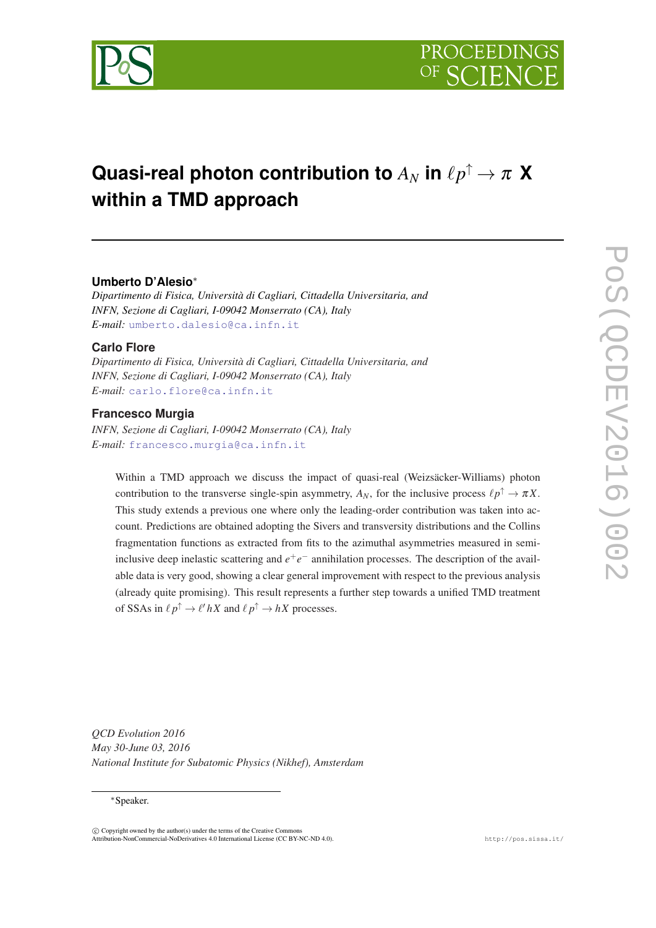

# **Quasi-real photon contribution to**  $A_N$  in  $\ell p^\uparrow \to \pi$   $\bm{X}$ **within a TMD approach**

### **Umberto D'Alesio**<sup>∗</sup>

*Dipartimento di Fisica, Università di Cagliari, Cittadella Universitaria, and INFN, Sezione di Cagliari, I-09042 Monserrato (CA), Italy E-mail:* [umberto.dalesio@ca.infn.it](mailto:umberto.dalesio@ca.infn.it)

#### **Carlo Flore**

*Dipartimento di Fisica, Università di Cagliari, Cittadella Universitaria, and INFN, Sezione di Cagliari, I-09042 Monserrato (CA), Italy E-mail:* [carlo.flore@ca.infn.it](mailto:carlo.flore@ca.infn.it)

## **Francesco Murgia**

*INFN, Sezione di Cagliari, I-09042 Monserrato (CA), Italy E-mail:* [francesco.murgia@ca.infn.it](mailto:francesco.murgia@ca.infn.it)

Within a TMD approach we discuss the impact of quasi-real (Weizsäcker-Williams) photon contribution to the transverse single-spin asymmetry,  $A_N$ , for the inclusive process  $\ell p^{\uparrow} \to \pi X$ . This study extends a previous one where only the leading-order contribution was taken into account. Predictions are obtained adopting the Sivers and transversity distributions and the Collins fragmentation functions as extracted from fits to the azimuthal asymmetries measured in semiinclusive deep inelastic scattering and  $e^+e^-$  annihilation processes. The description of the available data is very good, showing a clear general improvement with respect to the previous analysis (already quite promising). This result represents a further step towards a unified TMD treatment of SSAs in  $\ell p^{\uparrow} \to \ell' hX$  and  $\ell p^{\uparrow} \to hX$  processes.

*QCD Evolution 2016 May 30-June 03, 2016 National Institute for Subatomic Physics (Nikhef), Amsterdam*

#### <sup>∗</sup>Speaker.

 $(C)$  Copyright owned by the author(s) under the terms of the Creative Common Attribution-NonCommercial-NoDerivatives 4.0 International License (CC BY-NC-ND 4.0). http://pos.sissa.it/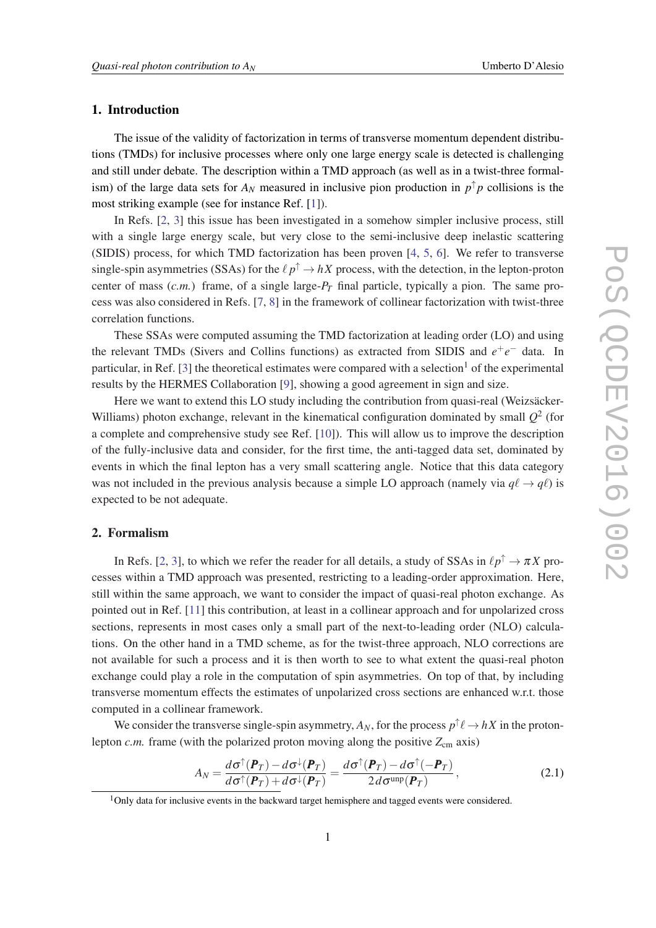#### <span id="page-1-0"></span>1. Introduction

The issue of the validity of factorization in terms of transverse momentum dependent distributions (TMDs) for inclusive processes where only one large energy scale is detected is challenging and still under debate. The description within a TMD approach (as well as in a twist-three formalism) of the large data sets for  $A_N$  measured in inclusive pion production in  $p^{\uparrow}p$  collisions is the most striking example (see for instance Ref. [[1](#page-8-0)]).

In Refs. [\[2,](#page-8-0) [3](#page-8-0)] this issue has been investigated in a somehow simpler inclusive process, still with a single large energy scale, but very close to the semi-inclusive deep inelastic scattering (SIDIS) process, for which TMD factorization has been proven [[4](#page-8-0), [5,](#page-8-0) [6\]](#page-8-0). We refer to transverse single-spin asymmetries (SSAs) for the  $\ell p^{\uparrow} \to hX$  process, with the detection, in the lepton-proton center of mass  $(c.m.)$  frame, of a single large- $P_T$  final particle, typically a pion. The same process was also considered in Refs. [[7](#page-8-0), [8\]](#page-8-0) in the framework of collinear factorization with twist-three correlation functions.

These SSAs were computed assuming the TMD factorization at leading order (LO) and using the relevant TMDs (Sivers and Collins functions) as extracted from SIDIS and  $e^+e^-$  data. In particular, in Ref. [\[3\]](#page-8-0) the theoretical estimates were compared with a selection<sup>1</sup> of the experimental results by the HERMES Collaboration [[9](#page-8-0)], showing a good agreement in sign and size.

Here we want to extend this LO study including the contribution from quasi-real (Weizsäcker-Williams) photon exchange, relevant in the kinematical configuration dominated by small  $Q^2$  (for a complete and comprehensive study see Ref. [[10\]](#page-8-0)). This will allow us to improve the description of the fully-inclusive data and consider, for the first time, the anti-tagged data set, dominated by events in which the final lepton has a very small scattering angle. Notice that this data category was not included in the previous analysis because a simple LO approach (namely via  $q\ell \rightarrow q\ell$ ) is expected to be not adequate.

#### 2. Formalism

In Refs. [[2](#page-8-0), [3](#page-8-0)], to which we refer the reader for all details, a study of SSAs in  $\ell p^{\uparrow} \to \pi X$  processes within a TMD approach was presented, restricting to a leading-order approximation. Here, still within the same approach, we want to consider the impact of quasi-real photon exchange. As pointed out in Ref. [\[11](#page-8-0)] this contribution, at least in a collinear approach and for unpolarized cross sections, represents in most cases only a small part of the next-to-leading order (NLO) calculations. On the other hand in a TMD scheme, as for the twist-three approach, NLO corrections are not available for such a process and it is then worth to see to what extent the quasi-real photon exchange could play a role in the computation of spin asymmetries. On top of that, by including transverse momentum effects the estimates of unpolarized cross sections are enhanced w.r.t. those computed in a collinear framework.

We consider the transverse single-spin asymmetry,  $A_N$ , for the process  $p^{\uparrow}\ell \to hX$  in the protonlepton  $c.m.$  frame (with the polarized proton moving along the positive  $Z_{cm}$  axis)

$$
A_N = \frac{d\sigma^{\uparrow}(\boldsymbol{P}_T) - d\sigma^{\downarrow}(\boldsymbol{P}_T)}{d\sigma^{\uparrow}(\boldsymbol{P}_T) + d\sigma^{\downarrow}(\boldsymbol{P}_T)} = \frac{d\sigma^{\uparrow}(\boldsymbol{P}_T) - d\sigma^{\uparrow}(-\boldsymbol{P}_T)}{2d\sigma^{\text{unp}}(\boldsymbol{P}_T)},
$$
(2.1)

 $1$ Only data for inclusive events in the backward target hemisphere and tagged events were considered.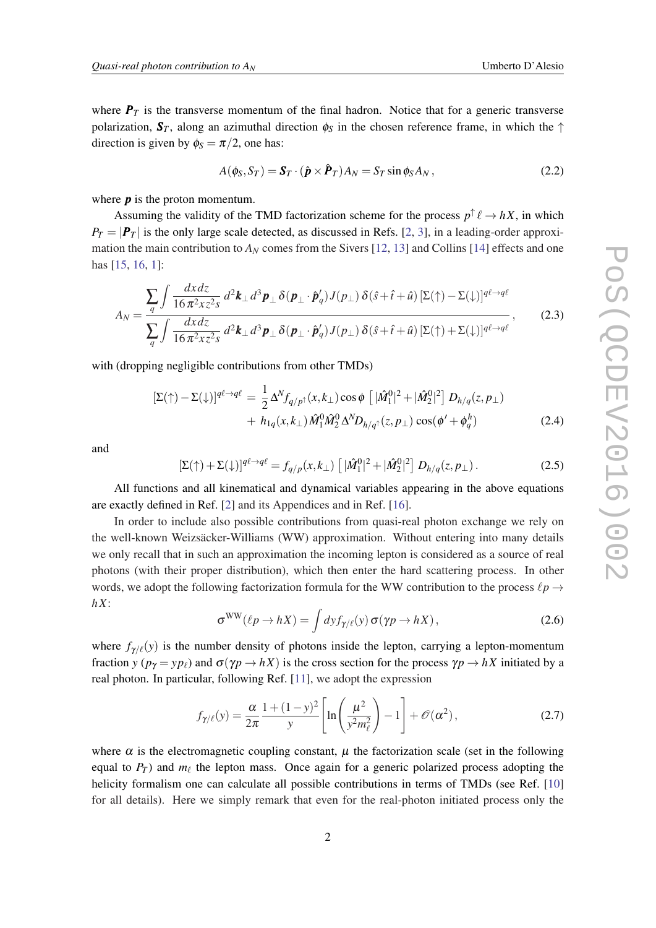<span id="page-2-0"></span>where  $P_T$  is the transverse momentum of the final hadron. Notice that for a generic transverse polarization,  $S_T$ , along an azimuthal direction  $\phi_S$  in the chosen reference frame, in which the  $\uparrow$ direction is given by  $\phi_S = \pi/2$ , one has:

$$
A(\phi_S, S_T) = \mathbf{S}_T \cdot (\hat{\boldsymbol{p}} \times \hat{\boldsymbol{P}}_T) A_N = S_T \sin \phi_S A_N ,
$$
\n(2.2)

where *p* is the proton momentum.

Assuming the validity of the TMD factorization scheme for the process  $p^{\uparrow} \ell \rightarrow hX$ , in which  $P_T = |P_T|$  is the only large scale detected, as discussed in Refs. [\[2,](#page-8-0) [3\]](#page-8-0), in a leading-order approximation the main contribution to  $A_N$  comes from the Sivers [[12,](#page-8-0) [13\]](#page-8-0) and Collins [[14\]](#page-8-0) effects and one has [\[15](#page-8-0), [16,](#page-8-0) [1](#page-8-0)]:

$$
A_N = \frac{\sum_{q} \int \frac{dx dz}{16 \pi^2 x z^2 s} d^2 \mathbf{k}_{\perp} d^3 \mathbf{p}_{\perp} \delta(\mathbf{p}_{\perp} \cdot \hat{\mathbf{p}}'_q) J(p_{\perp}) \delta(\hat{s} + \hat{t} + \hat{u}) \left[ \Sigma(\uparrow) - \Sigma(\downarrow) \right]^{q\ell \to q\ell}}{\sum_{q} \int \frac{dx dz}{16 \pi^2 x z^2 s} d^2 \mathbf{k}_{\perp} d^3 \mathbf{p}_{\perp} \delta(\mathbf{p}_{\perp} \cdot \hat{\mathbf{p}}'_q) J(p_{\perp}) \delta(\hat{s} + \hat{t} + \hat{u}) \left[ \Sigma(\uparrow) + \Sigma(\downarrow) \right]^{q\ell \to q\ell}},
$$
(2.3)

with (dropping negligible contributions from other TMDs)

$$
\begin{split} \left[\Sigma(\uparrow) - \Sigma(\downarrow)\right]^{q\ell \to q\ell} &= \frac{1}{2} \Delta^N f_{q/p^\uparrow}(x, k_\perp) \cos \phi \left[ |\hat{M}_1^0|^2 + |\hat{M}_2^0|^2 \right] D_{h/q}(z, p_\perp) \\ &+ h_{1q}(x, k_\perp) \hat{M}_1^0 \hat{M}_2^0 \Delta^N D_{h/q^\uparrow}(z, p_\perp) \cos(\phi' + \phi_q^h) \end{split} \tag{2.4}
$$

and

$$
\left[\Sigma(\uparrow) + \Sigma(\downarrow)\right]^{q\ell \to q\ell} = f_{q/p}(x, k_{\perp}) \left[ |\hat{M}_1^0|^2 + |\hat{M}_2^0|^2 \right] D_{h/q}(z, p_{\perp}). \tag{2.5}
$$

All functions and all kinematical and dynamical variables appearing in the above equations are exactly defined in Ref. [\[2\]](#page-8-0) and its Appendices and in Ref. [\[16](#page-8-0)].

In order to include also possible contributions from quasi-real photon exchange we rely on the well-known Weizsäcker-Williams (WW) approximation. Without entering into many details we only recall that in such an approximation the incoming lepton is considered as a source of real photons (with their proper distribution), which then enter the hard scattering process. In other words, we adopt the following factorization formula for the WW contribution to the process  $\ell p \rightarrow$ *hX*:

$$
\sigma^{WW}(\ell p \to hX) = \int dy f_{\gamma/\ell}(y) \,\sigma(\gamma p \to hX) \,, \tag{2.6}
$$

where  $f_{\gamma/\ell}(y)$  is the number density of photons inside the lepton, carrying a lepton-momentum fraction *y* ( $p_\gamma = yp_\ell$ ) and  $\sigma(\gamma p \to hX)$  is the cross section for the process  $\gamma p \to hX$  initiated by a real photon. In particular, following Ref. [\[11](#page-8-0)], we adopt the expression

$$
f_{\gamma/\ell}(y) = \frac{\alpha}{2\pi} \frac{1 + (1 - y)^2}{y} \left[ \ln\left(\frac{\mu^2}{y^2 m_\ell^2}\right) - 1 \right] + \mathcal{O}(\alpha^2),\tag{2.7}
$$

where  $\alpha$  is the electromagnetic coupling constant,  $\mu$  the factorization scale (set in the following equal to  $P_T$ ) and  $m_\ell$  the lepton mass. Once again for a generic polarized process adopting the helicity formalism one can calculate all possible contributions in terms of TMDs (see Ref. [\[10](#page-8-0)] for all details). Here we simply remark that even for the real-photon initiated process only the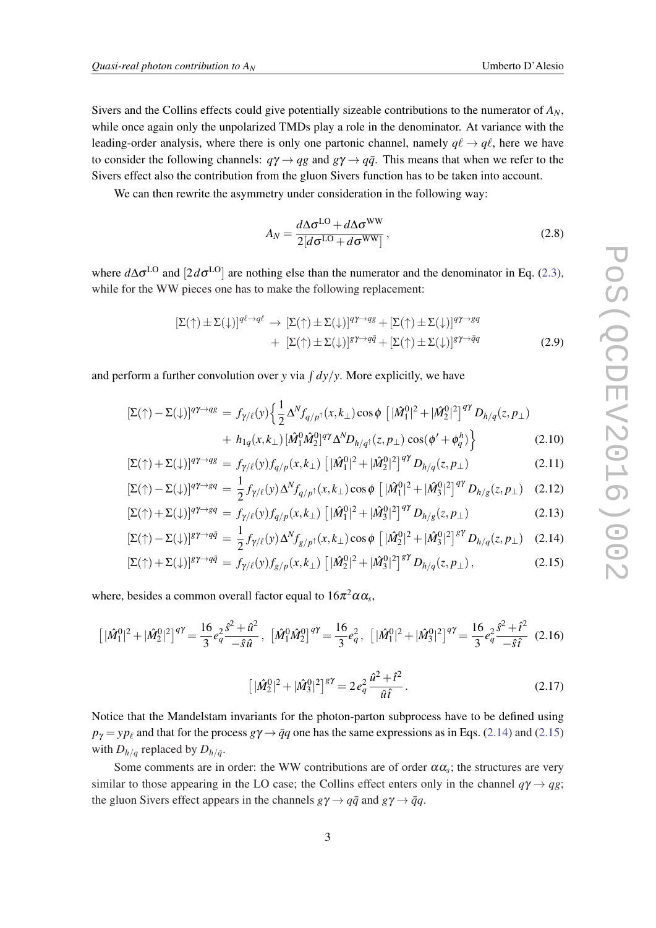<span id="page-3-0"></span>Sivers and the Collins effects could give potentially sizeable contributions to the numerator of  $A_N$ , while once again only the unpolarized TMDs play a role in the denominator. At variance with the leading-order analysis, where there is only one partonic channel, namely  $q\ell \rightarrow q\ell$ , here we have to consider the following channels:  $q\gamma \rightarrow qg$  and  $g\gamma \rightarrow q\bar{q}$ . This means that when we refer to the Sivers effect also the contribution from the gluon Sivers function has to be taken into account.

We can then rewrite the asymmetry under consideration in the following way:

$$
A_N = \frac{d\Delta\sigma^{\text{LO}} + d\Delta\sigma^{\text{WW}}}{2[d\sigma^{\text{LO}} + d\sigma^{\text{WW}}]},
$$
\n(2.8)

where  $d\Delta σ$ <sup>LO</sup> and [2 $dσ$ <sup>LO</sup>] are nothing else than the numerator and the denominator in Eq. ([2.3\)](#page-2-0), while for the WW pieces one has to make the following replacement:

$$
\begin{aligned} [\Sigma(\uparrow) \pm \Sigma(\downarrow)]^{q\ell \to q\ell} &\to [\Sigma(\uparrow) \pm \Sigma(\downarrow)]^{q\gamma \to qg} + [\Sigma(\uparrow) \pm \Sigma(\downarrow)]^{q\gamma \to gq} \\ &+ [\Sigma(\uparrow) \pm \Sigma(\downarrow)]^{g\gamma \to q\bar{q}} + [\Sigma(\uparrow) \pm \Sigma(\downarrow)]^{g\gamma \to \bar{q}q} \end{aligned} \tag{2.9}
$$

and perform a further convolution over *y* via  $\int dy/y$ . More explicitly, we have

$$
\left[\Sigma(\uparrow) - \Sigma(\downarrow)\right]^{q\gamma \to qg} = f_{\gamma/\ell}(y) \left\{ \frac{1}{2} \Delta^N f_{q/p^\uparrow}(x, k_\perp) \cos \phi \left[ |\hat{M}_1^0|^2 + |\hat{M}_2^0|^2 \right]^{q\gamma} D_{h/q}(z, p_\perp) \right. \\ \left. + h_{1q}(x, k_\perp) \left[ \hat{M}_1^0 \hat{M}_2^0 \right]^{q\gamma} \Delta^N D_{h/q^\uparrow}(z, p_\perp) \cos(\phi' + \phi_q^h) \right\} \tag{2.10}
$$

$$
\left[\Sigma(\uparrow) + \Sigma(\downarrow)\right]^{q\gamma \to qg} = f_{\gamma/\ell}(y) f_{q/p}(x, k_{\perp}) \left[ |\hat{M}_1^0|^2 + |\hat{M}_2^0|^2 \right]^{q\gamma} D_{h/q}(z, p_{\perp}) \tag{2.11}
$$

$$
[\Sigma(\uparrow) - \Sigma(\downarrow)]^{q\gamma \to gq} = \frac{1}{2} f_{\gamma/\ell}(y) \Delta^N f_{q/p^\uparrow}(x, k_\perp) \cos \phi \left[ |\hat{M}_1^0|^2 + |\hat{M}_3^0|^2 \right]^{q\gamma} D_{h/g}(z, p_\perp) \quad (2.12)
$$

$$
\left[\Sigma(\uparrow) + \Sigma(\downarrow)\right]^{q\gamma \to g q} = f_{\gamma/\ell}(y) f_{q/p}(x, k_{\perp}) \left[ |\hat{M}_1^0|^2 + |\hat{M}_3^0|^2 \right]^{q\gamma} D_{h/g}(z, p_{\perp}) \tag{2.13}
$$

$$
[\Sigma(\uparrow) - \Sigma(\downarrow)]^{g\gamma \to q\bar{q}} = \frac{1}{2} f_{\gamma/\ell}(y) \Delta^N f_{g/p\uparrow}(x, k_{\perp}) \cos \phi \left[ |\hat{M}_2^0|^2 + |\hat{M}_3^0|^2 \right]^{g\gamma} D_{h/q}(z, p_{\perp}) \quad (2.14)
$$

$$
\left[\Sigma(\uparrow) + \Sigma(\downarrow)\right]^{g\gamma \to q\bar{q}} = f_{\gamma/\ell}(y) f_{g/p}(x, k_{\perp}) \left[ |\hat{M}_2^0|^2 + |\hat{M}_3^0|^2 \right]^{g\gamma} D_{h/q}(z, p_{\perp}), \tag{2.15}
$$

where, besides a common overall factor equal to  $16\pi^2\alpha\alpha_s$ ,

$$
\left[|\hat{M}_1^0|^2+|\hat{M}_2^0|^2\right]^{q\gamma} = \frac{16}{3}e_q^2\frac{\hat{s}^2+\hat{u}^2}{-\hat{s}\hat{u}}, \ \left[\hat{M}_1^0\hat{M}_2^0\right]^{q\gamma} = \frac{16}{3}e_q^2, \ \left[|\hat{M}_1^0|^2+|\hat{M}_3^0|^2\right]^{q\gamma} = \frac{16}{3}e_q^2\frac{\hat{s}^2+\hat{t}^2}{-\hat{s}\hat{t}} \tag{2.16}
$$

$$
\left[|\hat{M}_2^0|^2 + |\hat{M}_3^0|^2\right]^{8\gamma} = 2e_q^2 \frac{\hat{u}^2 + \hat{t}^2}{\hat{u}\hat{t}}.
$$
\n(2.17)

Notice that the Mandelstam invariants for the photon-parton subprocess have to be defined using  $p_{\gamma} = yp_{\ell}$  and that for the process  $g\gamma \rightarrow \bar{q}q$  one has the same expressions as in Eqs. (2.14) and (2.15) with  $D_{h/q}$  replaced by  $D_{h/\bar{q}}$ .

Some comments are in order: the WW contributions are of order  $\alpha \alpha_s$ ; the structures are very similar to those appearing in the LO case; the Collins effect enters only in the channel  $q\gamma \rightarrow qg$ ; the gluon Sivers effect appears in the channels  $g\gamma \rightarrow q\bar{q}$  and  $g\gamma \rightarrow \bar{q}q$ .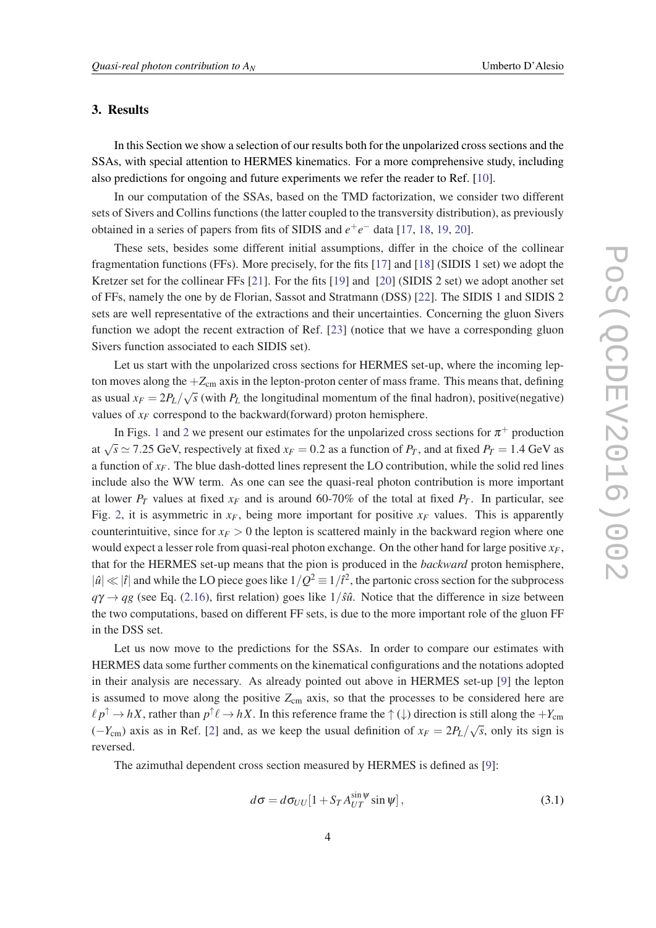#### 3. Results

In this Section we show a selection of our results both for the unpolarized cross sections and the SSAs, with special attention to HERMES kinematics. For a more comprehensive study, including also predictions for ongoing and future experiments we refer the reader to Ref. [[10\]](#page-8-0).

In our computation of the SSAs, based on the TMD factorization, we consider two different sets of Sivers and Collins functions (the latter coupled to the transversity distribution), as previously obtained in a series of papers from fits of SIDIS and  $e^+e^-$  data [[17,](#page-9-0) [18,](#page-9-0) [19](#page-9-0), [20\]](#page-9-0).

These sets, besides some different initial assumptions, differ in the choice of the collinear fragmentation functions (FFs). More precisely, for the fits [[17\]](#page-9-0) and [[18\]](#page-9-0) (SIDIS 1 set) we adopt the Kretzer set for the collinear FFs [[21](#page-9-0)]. For the fits [[19\]](#page-9-0) and [[20\]](#page-9-0) (SIDIS 2 set) we adopt another set of FFs, namely the one by de Florian, Sassot and Stratmann (DSS) [[22\]](#page-9-0). The SIDIS 1 and SIDIS 2 sets are well representative of the extractions and their uncertainties. Concerning the gluon Sivers function we adopt the recent extraction of Ref. [\[23](#page-9-0)] (notice that we have a corresponding gluon Sivers function associated to each SIDIS set).

Let us start with the unpolarized cross sections for HERMES set-up, where the incoming lepton moves along the  $+Z_{cm}$  axis in the lepton-proton center of mass frame. This means that, defining as usual  $x_F = 2P_L/\sqrt{s}$  (with  $P_L$  the longitudinal momentum of the final hadron), positive(negative) values of  $x_F$  correspond to the backward(forward) proton hemisphere.

In Figs. [1](#page-5-0) and [2](#page-5-0) we present our estimates for the unpolarized cross sections for  $\pi^+$  production at  $\sqrt{s} \approx 7.25$  GeV, respectively at fixed  $x_F = 0.2$  as a function of  $P_T$ , and at fixed  $P_T = 1.4$  GeV as a function of  $x_F$ . The blue dash-dotted lines represent the LO contribution, while the solid red lines include also the WW term. As one can see the quasi-real photon contribution is more important at lower  $P_T$  values at fixed  $x_F$  and is around 60-70% of the total at fixed  $P_T$ . In particular, see Fig. [2](#page-5-0), it is asymmetric in  $x_F$ , being more important for positive  $x_F$  values. This is apparently counterintuitive, since for  $x_F > 0$  the lepton is scattered mainly in the backward region where one would expect a lesser role from quasi-real photon exchange. On the other hand for large positive *xF*, that for the HERMES set-up means that the pion is produced in the *backward* proton hemisphere,  $|\hat{u}| \ll |\hat{t}|$  and while the LO piece goes like  $1/Q^2 \equiv 1/\hat{t}^2$ , the partonic cross section for the subprocess  $q\gamma \rightarrow qg$  (see Eq. [\(2.16](#page-3-0)), first relation) goes like  $1/\hat{s}\hat{u}$ . Notice that the difference in size between the two computations, based on different FF sets, is due to the more important role of the gluon FF in the DSS set.

Let us now move to the predictions for the SSAs. In order to compare our estimates with HERMES data some further comments on the kinematical configurations and the notations adopted in their analysis are necessary. As already pointed out above in HERMES set-up [[9](#page-8-0)] the lepton is assumed to move along the positive  $Z_{cm}$  axis, so that the processes to be considered here are  $\ell p^{\uparrow} \to hX$ , rather than  $p^{\uparrow} \ell \to hX$ . In this reference frame the  $\uparrow (\downarrow)$  direction is still along the  $+Y_{\rm cm}$  $(-Y_{cm})$  axis as in Ref. [[2](#page-8-0)] and, as we keep the usual definition of  $x_F = 2P_L/\sqrt{2}$ *s*, only its sign is reversed.

The azimuthal dependent cross section measured by HERMES is defined as [[9](#page-8-0)]:

$$
d\sigma = d\sigma_{UU}[1 + S_T A_{UT}^{\sin\psi} \sin\psi],
$$
\n(3.1)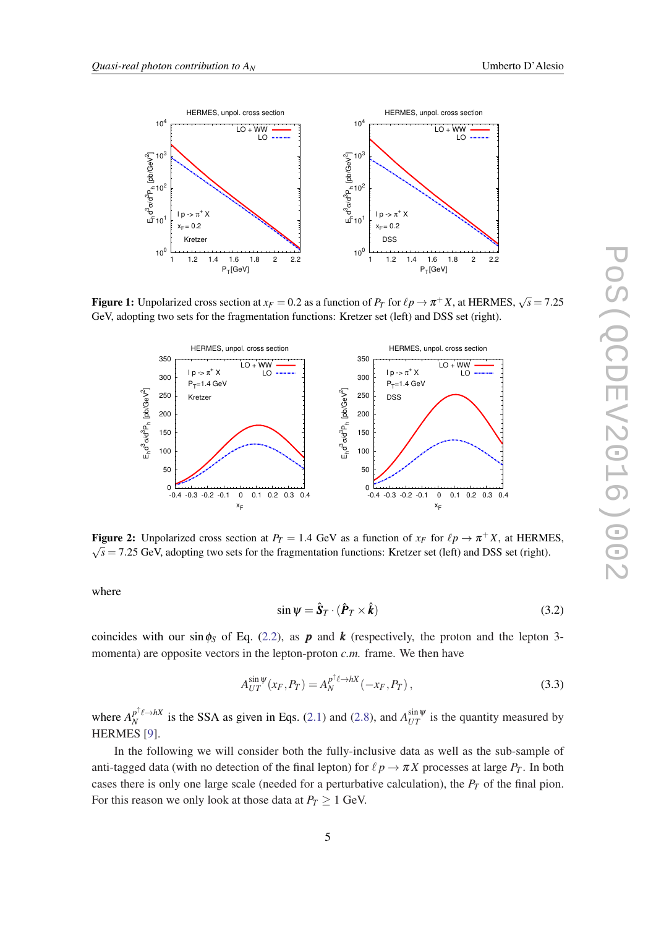<span id="page-5-0"></span>

Figure 1: Unpolarized cross section at  $x_F = 0.2$  as a function of  $P_T$  for  $\ell p \to \pi^+ X$ , at HERMES,  $\sqrt{s} = 7.25$ GeV, adopting two sets for the fragmentation functions: Kretzer set (left) and DSS set (right).



Figure 2: Unpolarized cross section at  $P_T = 1.4 \text{ GeV}$  as a function of  $x_F$  for  $\ell p \to \pi^+ X$ , at HERMES,  $\sqrt{s}$  = 7.25 GeV, adopting two sets for the fragmentation functions: Kretzer set (left) and DSS set (right).

where

$$
\sin \psi = \hat{\mathbf{S}}_T \cdot (\hat{\boldsymbol{P}}_T \times \hat{\boldsymbol{k}})
$$
\n(3.2)

coincides with our sin $\phi_s$  of Eq. ([2.2\)](#page-2-0), as **p** and **k** (respectively, the proton and the lepton 3momenta) are opposite vectors in the lepton-proton *c.m.* frame. We then have

$$
A_{UT}^{\sin\psi}(x_F, P_T) = A_N^{p^\dagger \ell \to hX}(-x_F, P_T), \qquad (3.3)
$$

where  $A_N^{p^{\uparrow}\ell \to hX}$  $N$ <sup>T</sup><sup> $\ell \rightarrow hX$ </sup> is the SSA as given in Eqs. ([2.1](#page-1-0)) and ([2.8](#page-3-0)), and  $A_{UT}^{\sin \psi}$  is the quantity measured by HERMES [[9](#page-8-0)].

In the following we will consider both the fully-inclusive data as well as the sub-sample of anti-tagged data (with no detection of the final lepton) for  $\ell p \to \pi X$  processes at large  $P_T$ . In both cases there is only one large scale (needed for a perturbative calculation), the *P<sup>T</sup>* of the final pion. For this reason we only look at those data at  $P_T \geq 1$  GeV.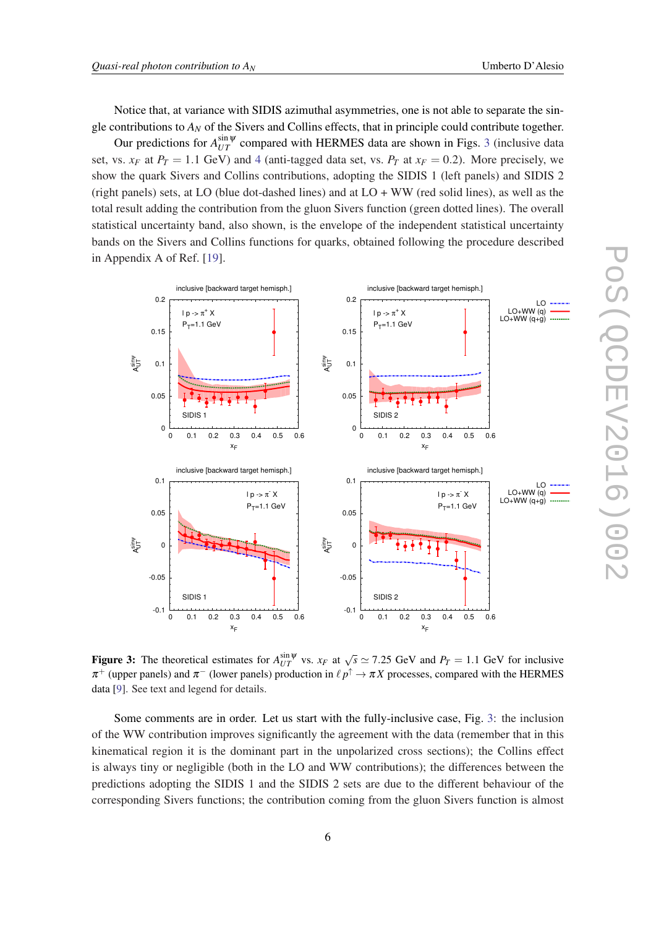Notice that, at variance with SIDIS azimuthal asymmetries, one is not able to separate the single contributions to *A<sup>N</sup>* of the Sivers and Collins effects, that in principle could contribute together.

Our predictions for  $A_{UT}^{\sin \psi}$  compared with HERMES data are shown in Figs. 3 (inclusive data set, vs.  $x_F$  at  $P_T = 1.1$  GeV) and [4](#page-7-0) (anti-tagged data set, vs.  $P_T$  at  $x_F = 0.2$ ). More precisely, we show the quark Sivers and Collins contributions, adopting the SIDIS 1 (left panels) and SIDIS 2 (right panels) sets, at LO (blue dot-dashed lines) and at  $LO + WW$  (red solid lines), as well as the total result adding the contribution from the gluon Sivers function (green dotted lines). The overall statistical uncertainty band, also shown, is the envelope of the independent statistical uncertainty bands on the Sivers and Collins functions for quarks, obtained following the procedure described in Appendix A of Ref. [[19](#page-9-0)].



**Figure 3:** The theoretical estimates for  $A_{UT}^{\sin \psi}$  vs.  $x_F$  at  $\sqrt{s} \simeq 7.25$  GeV and  $P_T = 1.1$  GeV for inclusive  $\pi^+$  (upper panels) and  $\pi^-$  (lower panels) production in  $\ell p^{\uparrow} \to \pi X$  processes, compared with the HERMES data [[9\]](#page-8-0). See text and legend for details.

Some comments are in order. Let us start with the fully-inclusive case, Fig. 3: the inclusion of the WW contribution improves significantly the agreement with the data (remember that in this kinematical region it is the dominant part in the unpolarized cross sections); the Collins effect is always tiny or negligible (both in the LO and WW contributions); the differences between the predictions adopting the SIDIS 1 and the SIDIS 2 sets are due to the different behaviour of the corresponding Sivers functions; the contribution coming from the gluon Sivers function is almost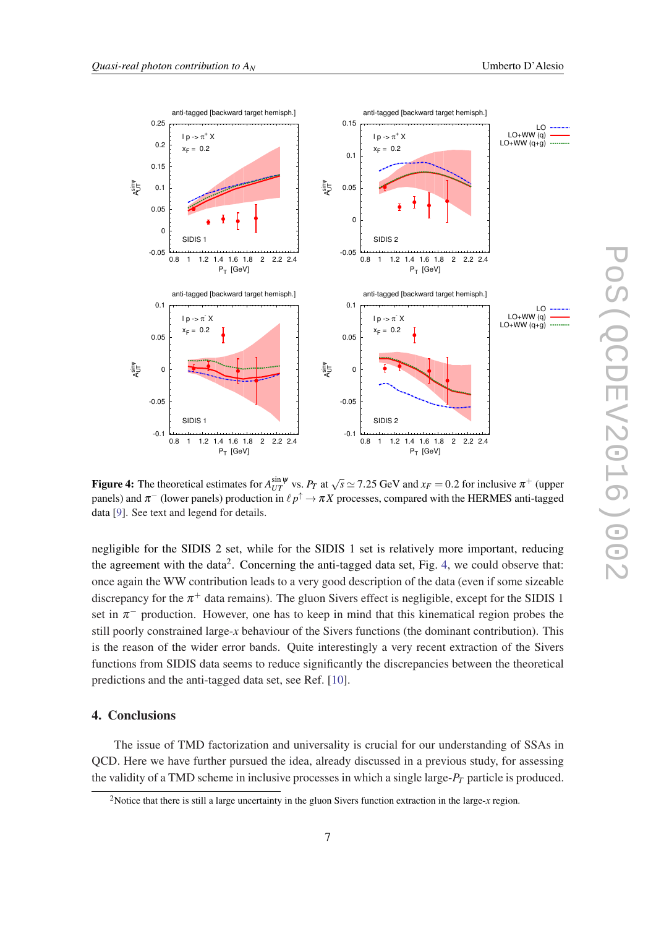<span id="page-7-0"></span>

Figure 4: The theoretical estimates for  $A_{UT}^{\sin \psi}$  vs.  $P_T$  at  $\sqrt{s} \simeq 7.25$  GeV and  $x_F = 0.2$  for inclusive  $\pi^+$  (upper panels) and  $\pi^-$  (lower panels) production in  $\ell \, p^\uparrow \to \pi X$  processes, compared with the HERMES anti-tagged data [[9\]](#page-8-0). See text and legend for details.

negligible for the SIDIS 2 set, while for the SIDIS 1 set is relatively more important, reducing the agreement with the data<sup>2</sup>. Concerning the anti-tagged data set, Fig. 4, we could observe that: once again the WW contribution leads to a very good description of the data (even if some sizeable discrepancy for the  $\pi^+$  data remains). The gluon Sivers effect is negligible, except for the SIDIS 1 set in  $\pi^-$  production. However, one has to keep in mind that this kinematical region probes the still poorly constrained large-*x* behaviour of the Sivers functions (the dominant contribution). This is the reason of the wider error bands. Quite interestingly a very recent extraction of the Sivers functions from SIDIS data seems to reduce significantly the discrepancies between the theoretical predictions and the anti-tagged data set, see Ref. [[10\]](#page-8-0).

#### 4. Conclusions

The issue of TMD factorization and universality is crucial for our understanding of SSAs in QCD. Here we have further pursued the idea, already discussed in a previous study, for assessing the validity of a TMD scheme in inclusive processes in which a single large-*P<sup>T</sup>* particle is produced.

<sup>2</sup>Notice that there is still a large uncertainty in the gluon Sivers function extraction in the large-*x* region.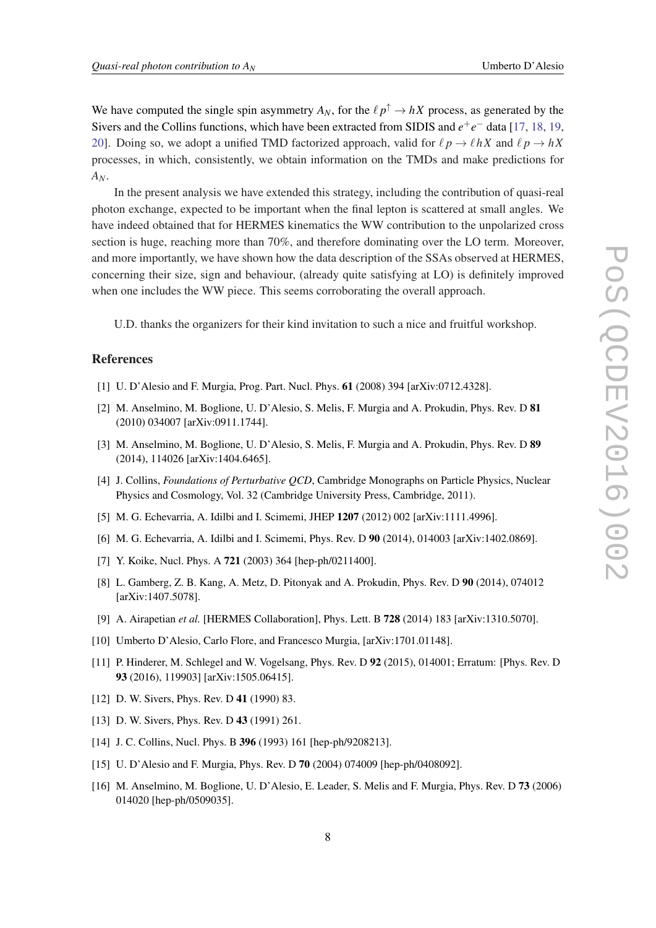<span id="page-8-0"></span>We have computed the single spin asymmetry  $A_N$ , for the  $\ell p^{\uparrow} \to hX$  process, as generated by the Sivers and the Collins functions, which have been extracted from SIDIS and *e* +*e* <sup>−</sup> data [[17,](#page-9-0) [18](#page-9-0), [19](#page-9-0), [20](#page-9-0)]. Doing so, we adopt a unified TMD factorized approach, valid for  $\ell p \rightarrow \ell hX$  and  $\ell p \rightarrow hX$ processes, in which, consistently, we obtain information on the TMDs and make predictions for *AN*.

In the present analysis we have extended this strategy, including the contribution of quasi-real photon exchange, expected to be important when the final lepton is scattered at small angles. We have indeed obtained that for HERMES kinematics the WW contribution to the unpolarized cross section is huge, reaching more than 70%, and therefore dominating over the LO term. Moreover, and more importantly, we have shown how the data description of the SSAs observed at HERMES, concerning their size, sign and behaviour, (already quite satisfying at LO) is definitely improved when one includes the WW piece. This seems corroborating the overall approach.

U.D. thanks the organizers for their kind invitation to such a nice and fruitful workshop.

#### References

- [1] U. D'Alesio and F. Murgia, Prog. Part. Nucl. Phys. 61 (2008) 394 [arXiv:0712.4328].
- [2] M. Anselmino, M. Boglione, U. D'Alesio, S. Melis, F. Murgia and A. Prokudin, Phys. Rev. D 81 (2010) 034007 [arXiv:0911.1744].
- [3] M. Anselmino, M. Boglione, U. D'Alesio, S. Melis, F. Murgia and A. Prokudin, Phys. Rev. D 89 (2014), 114026 [arXiv:1404.6465].
- [4] J. Collins, *Foundations of Perturbative QCD*, Cambridge Monographs on Particle Physics, Nuclear Physics and Cosmology, Vol. 32 (Cambridge University Press, Cambridge, 2011).
- [5] M. G. Echevarria, A. Idilbi and I. Scimemi, JHEP 1207 (2012) 002 [arXiv:1111.4996].
- [6] M. G. Echevarria, A. Idilbi and I. Scimemi, Phys. Rev. D 90 (2014), 014003 [arXiv:1402.0869].
- [7] Y. Koike, Nucl. Phys. A 721 (2003) 364 [hep-ph/0211400].
- [8] L. Gamberg, Z. B. Kang, A. Metz, D. Pitonyak and A. Prokudin, Phys. Rev. D 90 (2014), 074012 [arXiv:1407.5078].
- [9] A. Airapetian *et al.* [HERMES Collaboration], Phys. Lett. B 728 (2014) 183 [arXiv:1310.5070].
- [10] Umberto D'Alesio, Carlo Flore, and Francesco Murgia, [arXiv:1701.01148].
- [11] P. Hinderer, M. Schlegel and W. Vogelsang, Phys. Rev. D 92 (2015), 014001; Erratum: [Phys. Rev. D 93 (2016), 119903] [arXiv:1505.06415].
- [12] D. W. Sivers, Phys. Rev. D 41 (1990) 83.
- [13] D. W. Sivers, Phys. Rev. D **43** (1991) 261.
- [14] J. C. Collins, Nucl. Phys. B 396 (1993) 161 [hep-ph/9208213].
- [15] U. D'Alesio and F. Murgia, Phys. Rev. D 70 (2004) 074009 [hep-ph/0408092].
- [16] M. Anselmino, M. Boglione, U. D'Alesio, E. Leader, S. Melis and F. Murgia, Phys. Rev. D 73 (2006) 014020 [hep-ph/0509035].